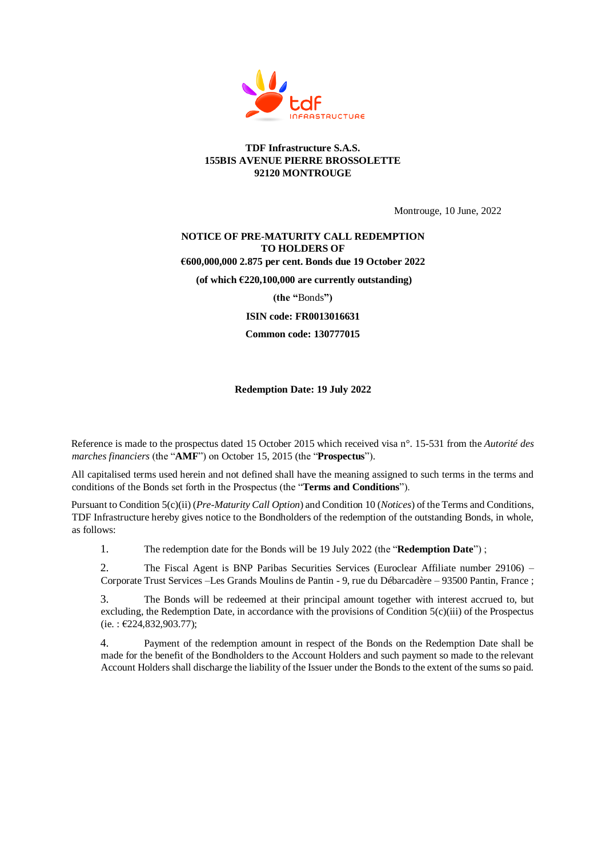

## **TDF Infrastructure S.A.S. 155BIS AVENUE PIERRE BROSSOLETTE 92120 MONTROUGE**

Montrouge, 10 June, 2022

## **NOTICE OF PRE-MATURITY CALL REDEMPTION TO HOLDERS OF**

**€600,000,000 2.875 per cent. Bonds due 19 October 2022**

**(of which €220,100,000 are currently outstanding)** 

**(the "**Bonds**")**

**ISIN code: FR0013016631**

**Common code: 130777015**

**Redemption Date: 19 July 2022**

Reference is made to the prospectus dated 15 October 2015 which received visa n°. 15-531 from the *Autorité des marches financiers* (the "**AMF**") on October 15, 2015 (the "**Prospectus**").

All capitalised terms used herein and not defined shall have the meaning assigned to such terms in the terms and conditions of the Bonds set forth in the Prospectus (the "**Terms and Conditions**").

Pursuant to Condition 5(c)(ii) (*Pre-Maturity Call Option*) and Condition 10 (*Notices*) of the Terms and Conditions, TDF Infrastructure hereby gives notice to the Bondholders of the redemption of the outstanding Bonds, in whole, as follows:

1. The redemption date for the Bonds will be 19 July 2022 (the "**Redemption Date**") ;

2. The Fiscal Agent is BNP Paribas Securities Services (Euroclear Affiliate number 29106) – Corporate Trust Services –Les Grands Moulins de Pantin - 9, rue du Débarcadère – 93500 Pantin, France ;

3. The Bonds will be redeemed at their principal amount together with interest accrued to, but excluding, the Redemption Date, in accordance with the provisions of Condition 5(c)(iii) of the Prospectus (ie. : €224,832,903.77);

4. Payment of the redemption amount in respect of the Bonds on the Redemption Date shall be made for the benefit of the Bondholders to the Account Holders and such payment so made to the relevant Account Holders shall discharge the liability of the Issuer under the Bonds to the extent of the sums so paid.